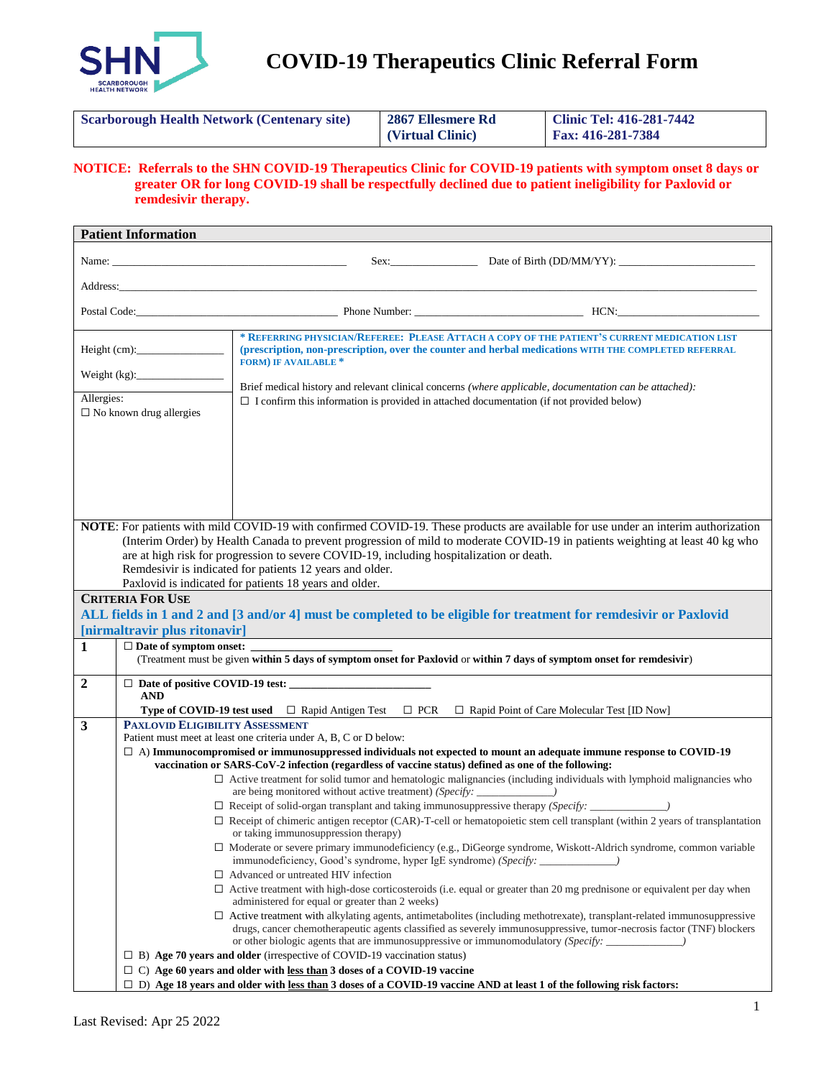

 **COVID-19 Therapeutics Clinic Referral Form**

| <b>Fax: 416-281-7384</b><br>(Virtual Clinic) |
|----------------------------------------------|
|----------------------------------------------|

**NOTICE: Referrals to the SHN COVID-19 Therapeutics Clinic for COVID-19 patients with symptom onset 8 days or greater OR for long COVID-19 shall be respectfully declined due to patient ineligibility for Paxlovid or remdesivir therapy.**

| <b>Patient Information</b>                                                                                                                                                                                                                                                                                                                                                                                                                                                            |                                                                                                                                                                                                                                  |                                                                                                                                                                                                                                     |  |                                                                                                                                                                                                                                                        |  |  |  |
|---------------------------------------------------------------------------------------------------------------------------------------------------------------------------------------------------------------------------------------------------------------------------------------------------------------------------------------------------------------------------------------------------------------------------------------------------------------------------------------|----------------------------------------------------------------------------------------------------------------------------------------------------------------------------------------------------------------------------------|-------------------------------------------------------------------------------------------------------------------------------------------------------------------------------------------------------------------------------------|--|--------------------------------------------------------------------------------------------------------------------------------------------------------------------------------------------------------------------------------------------------------|--|--|--|
|                                                                                                                                                                                                                                                                                                                                                                                                                                                                                       | Name: Name:                                                                                                                                                                                                                      |                                                                                                                                                                                                                                     |  |                                                                                                                                                                                                                                                        |  |  |  |
|                                                                                                                                                                                                                                                                                                                                                                                                                                                                                       | Address: Address: Address: Address: Address: Address: Address: Address: Address: Address: Address: Address: Address: Address: Address: Address: Address: Address: Address: Address: Address: Address: Address: Address: Addres   |                                                                                                                                                                                                                                     |  |                                                                                                                                                                                                                                                        |  |  |  |
|                                                                                                                                                                                                                                                                                                                                                                                                                                                                                       |                                                                                                                                                                                                                                  |                                                                                                                                                                                                                                     |  |                                                                                                                                                                                                                                                        |  |  |  |
| Height (cm):                                                                                                                                                                                                                                                                                                                                                                                                                                                                          |                                                                                                                                                                                                                                  | * REFERRING PHYSICIAN/REFEREE: PLEASE ATTACH A COPY OF THE PATIENT'S CURRENT MEDICATION LIST<br>(prescription, non-prescription, over the counter and herbal medications WITH THE COMPLETED REFERRAL<br><b>FORM) IF AVAILABLE *</b> |  |                                                                                                                                                                                                                                                        |  |  |  |
| Weight $(kg)$ :                                                                                                                                                                                                                                                                                                                                                                                                                                                                       |                                                                                                                                                                                                                                  | Brief medical history and relevant clinical concerns (where applicable, documentation can be attached):                                                                                                                             |  |                                                                                                                                                                                                                                                        |  |  |  |
| Allergies:<br>$\Box$ I confirm this information is provided in attached documentation (if not provided below)<br>$\square$ No known drug allergies                                                                                                                                                                                                                                                                                                                                    |                                                                                                                                                                                                                                  |                                                                                                                                                                                                                                     |  |                                                                                                                                                                                                                                                        |  |  |  |
|                                                                                                                                                                                                                                                                                                                                                                                                                                                                                       |                                                                                                                                                                                                                                  |                                                                                                                                                                                                                                     |  |                                                                                                                                                                                                                                                        |  |  |  |
| NOTE: For patients with mild COVID-19 with confirmed COVID-19. These products are available for use under an interim authorization<br>(Interim Order) by Health Canada to prevent progression of mild to moderate COVID-19 in patients weighting at least 40 kg who<br>are at high risk for progression to severe COVID-19, including hospitalization or death.<br>Remdesivir is indicated for patients 12 years and older.<br>Paxlovid is indicated for patients 18 years and older. |                                                                                                                                                                                                                                  |                                                                                                                                                                                                                                     |  |                                                                                                                                                                                                                                                        |  |  |  |
| <b>CRITERIA FOR USE</b><br>ALL fields in 1 and 2 and [3 and/or 4] must be completed to be eligible for treatment for remdesivir or Paxlovid<br>[nirmaltravir plus ritonavir]                                                                                                                                                                                                                                                                                                          |                                                                                                                                                                                                                                  |                                                                                                                                                                                                                                     |  |                                                                                                                                                                                                                                                        |  |  |  |
| 1                                                                                                                                                                                                                                                                                                                                                                                                                                                                                     | $\Box$ Date of symptom onset:<br>(Treatment must be given within 5 days of symptom onset for Paxlovid or within 7 days of symptom onset for remdesivir)                                                                          |                                                                                                                                                                                                                                     |  |                                                                                                                                                                                                                                                        |  |  |  |
| $\boldsymbol{2}$                                                                                                                                                                                                                                                                                                                                                                                                                                                                      |                                                                                                                                                                                                                                  |                                                                                                                                                                                                                                     |  |                                                                                                                                                                                                                                                        |  |  |  |
|                                                                                                                                                                                                                                                                                                                                                                                                                                                                                       | <b>AND</b>                                                                                                                                                                                                                       |                                                                                                                                                                                                                                     |  |                                                                                                                                                                                                                                                        |  |  |  |
| $\mathbf{3}$                                                                                                                                                                                                                                                                                                                                                                                                                                                                          | <b>Type of COVID-19 test used</b> $\Box$ Rapid Antigen Test $\Box$ PCR $\Box$ Rapid Point of Care Molecular Test [ID Now]<br><b>PAXLOVID ELIGIBILITY ASSESSMENT</b>                                                              |                                                                                                                                                                                                                                     |  |                                                                                                                                                                                                                                                        |  |  |  |
|                                                                                                                                                                                                                                                                                                                                                                                                                                                                                       | Patient must meet at least one criteria under A, B, C or D below:                                                                                                                                                                |                                                                                                                                                                                                                                     |  |                                                                                                                                                                                                                                                        |  |  |  |
|                                                                                                                                                                                                                                                                                                                                                                                                                                                                                       | $\Box$ A) Immunocompromised or immunosuppressed individuals not expected to mount an adequate immune response to COVID-19<br>vaccination or SARS-CoV-2 infection (regardless of vaccine status) defined as one of the following: |                                                                                                                                                                                                                                     |  |                                                                                                                                                                                                                                                        |  |  |  |
|                                                                                                                                                                                                                                                                                                                                                                                                                                                                                       | $\Box$ Active treatment for solid tumor and hematologic malignancies (including individuals with lymphoid malignancies who                                                                                                       |                                                                                                                                                                                                                                     |  |                                                                                                                                                                                                                                                        |  |  |  |
|                                                                                                                                                                                                                                                                                                                                                                                                                                                                                       |                                                                                                                                                                                                                                  |                                                                                                                                                                                                                                     |  |                                                                                                                                                                                                                                                        |  |  |  |
|                                                                                                                                                                                                                                                                                                                                                                                                                                                                                       |                                                                                                                                                                                                                                  |                                                                                                                                                                                                                                     |  | $\Box$ Receipt of chimeric antigen receptor (CAR)-T-cell or hematopoietic stem cell transplant (within 2 years of transplantation<br>or taking immunosuppression therapy)                                                                              |  |  |  |
|                                                                                                                                                                                                                                                                                                                                                                                                                                                                                       |                                                                                                                                                                                                                                  |                                                                                                                                                                                                                                     |  | $\Box$ Moderate or severe primary immunodeficiency (e.g., DiGeorge syndrome, Wiskott-Aldrich syndrome, common variable<br>immunodeficiency, Good's syndrome, hyper IgE syndrome) (Specify: _______________                                             |  |  |  |
|                                                                                                                                                                                                                                                                                                                                                                                                                                                                                       |                                                                                                                                                                                                                                  | $\Box$ Advanced or untreated HIV infection                                                                                                                                                                                          |  |                                                                                                                                                                                                                                                        |  |  |  |
|                                                                                                                                                                                                                                                                                                                                                                                                                                                                                       |                                                                                                                                                                                                                                  | administered for equal or greater than 2 weeks)                                                                                                                                                                                     |  | $\Box$ Active treatment with high-dose corticosteroids (i.e. equal or greater than 20 mg prednisone or equivalent per day when                                                                                                                         |  |  |  |
|                                                                                                                                                                                                                                                                                                                                                                                                                                                                                       |                                                                                                                                                                                                                                  |                                                                                                                                                                                                                                     |  | $\Box$ Active treatment with alkylating agents, antimetabolites (including methotrexate), transplant-related immunosuppressive<br>drugs, cancer chemotherapeutic agents classified as severely immunosuppressive, tumor-necrosis factor (TNF) blockers |  |  |  |
|                                                                                                                                                                                                                                                                                                                                                                                                                                                                                       |                                                                                                                                                                                                                                  |                                                                                                                                                                                                                                     |  |                                                                                                                                                                                                                                                        |  |  |  |
|                                                                                                                                                                                                                                                                                                                                                                                                                                                                                       | $\Box$ B) Age 70 years and older (irrespective of COVID-19 vaccination status)                                                                                                                                                   |                                                                                                                                                                                                                                     |  |                                                                                                                                                                                                                                                        |  |  |  |
|                                                                                                                                                                                                                                                                                                                                                                                                                                                                                       | $\Box$ C) Age 60 years and older with <u>less than</u> 3 doses of a COVID-19 vaccine<br>$\Box$ D) Age 18 years and older with less than 3 doses of a COVID-19 vaccine AND at least 1 of the following risk factors:              |                                                                                                                                                                                                                                     |  |                                                                                                                                                                                                                                                        |  |  |  |
|                                                                                                                                                                                                                                                                                                                                                                                                                                                                                       |                                                                                                                                                                                                                                  |                                                                                                                                                                                                                                     |  |                                                                                                                                                                                                                                                        |  |  |  |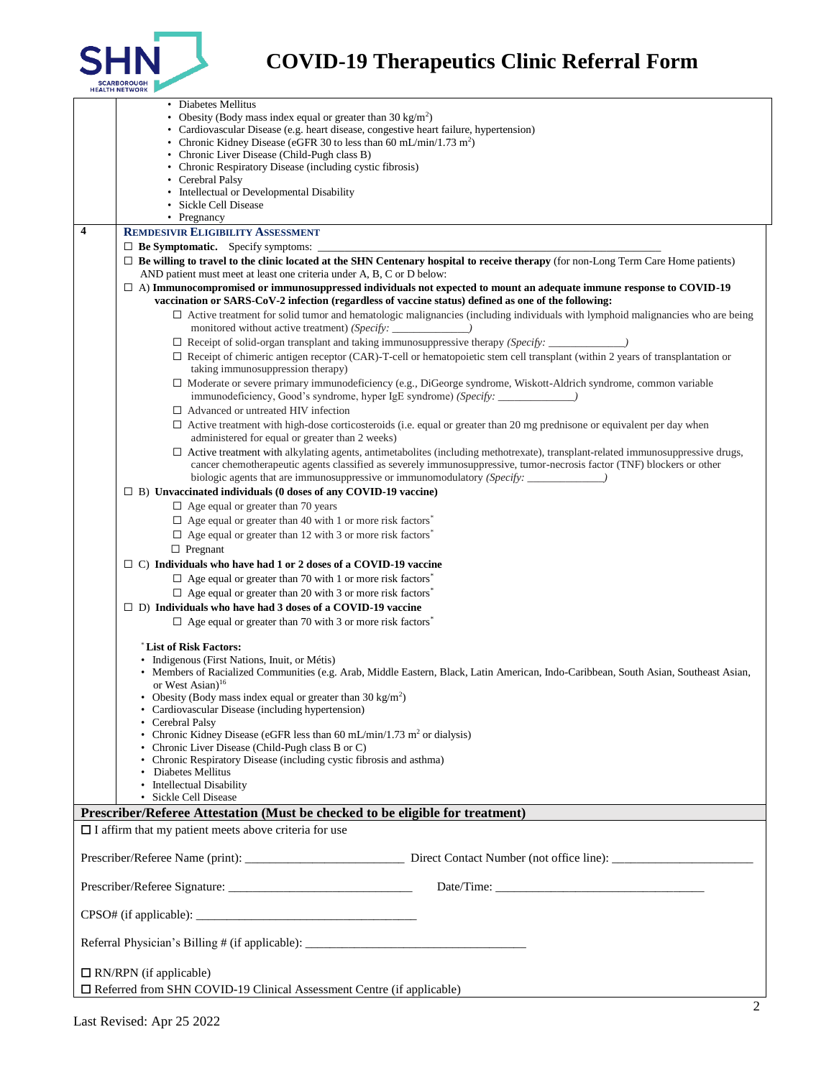

## **SHN** COVID-19 Therapeutics Clinic Referral Form

|                                                                                  | • Diabetes Mellitus                                                                                                                                                                      |  |  |  |  |  |  |
|----------------------------------------------------------------------------------|------------------------------------------------------------------------------------------------------------------------------------------------------------------------------------------|--|--|--|--|--|--|
|                                                                                  | • Obesity (Body mass index equal or greater than $30 \text{ kg/m}^2$ )                                                                                                                   |  |  |  |  |  |  |
|                                                                                  | • Cardiovascular Disease (e.g. heart disease, congestive heart failure, hypertension)                                                                                                    |  |  |  |  |  |  |
|                                                                                  | • Chronic Kidney Disease (eGFR 30 to less than 60 mL/min/1.73 m <sup>2</sup> )<br>• Chronic Liver Disease (Child-Pugh class B)                                                           |  |  |  |  |  |  |
|                                                                                  | • Chronic Respiratory Disease (including cystic fibrosis)                                                                                                                                |  |  |  |  |  |  |
|                                                                                  | • Cerebral Palsy                                                                                                                                                                         |  |  |  |  |  |  |
|                                                                                  | • Intellectual or Developmental Disability                                                                                                                                               |  |  |  |  |  |  |
|                                                                                  | · Sickle Cell Disease                                                                                                                                                                    |  |  |  |  |  |  |
|                                                                                  | • Pregnancy                                                                                                                                                                              |  |  |  |  |  |  |
| $\overline{\mathbf{4}}$                                                          | <b>REMDESIVIR ELIGIBILITY ASSESSMENT</b>                                                                                                                                                 |  |  |  |  |  |  |
|                                                                                  | $\Box$ <b>Be Symptomatic.</b> Specify symptoms:                                                                                                                                          |  |  |  |  |  |  |
|                                                                                  | $\Box$ Be willing to travel to the clinic located at the SHN Centenary hospital to receive therapy (for non-Long Term Care Home patients)                                                |  |  |  |  |  |  |
|                                                                                  | AND patient must meet at least one criteria under A, B, C or D below:                                                                                                                    |  |  |  |  |  |  |
|                                                                                  | $\Box$ A) Immunocompromised or immunosuppressed individuals not expected to mount an adequate immune response to COVID-19                                                                |  |  |  |  |  |  |
|                                                                                  | vaccination or SARS-CoV-2 infection (regardless of vaccine status) defined as one of the following:                                                                                      |  |  |  |  |  |  |
|                                                                                  | $\Box$ Active treatment for solid tumor and hematologic malignancies (including individuals with lymphoid malignancies who are being                                                     |  |  |  |  |  |  |
|                                                                                  | monitored without active treatment) (Specify: _____________)                                                                                                                             |  |  |  |  |  |  |
|                                                                                  |                                                                                                                                                                                          |  |  |  |  |  |  |
|                                                                                  | $\Box$ Receipt of chimeric antigen receptor (CAR)-T-cell or hematopoietic stem cell transplant (within 2 years of transplantation or                                                     |  |  |  |  |  |  |
|                                                                                  | taking immunosuppression therapy)                                                                                                                                                        |  |  |  |  |  |  |
|                                                                                  | $\Box$ Moderate or severe primary immunodeficiency (e.g., DiGeorge syndrome, Wiskott-Aldrich syndrome, common variable                                                                   |  |  |  |  |  |  |
|                                                                                  | immunodeficiency, Good's syndrome, hyper IgE syndrome) (Specify: ______________)                                                                                                         |  |  |  |  |  |  |
|                                                                                  | $\Box$ Advanced or untreated HIV infection                                                                                                                                               |  |  |  |  |  |  |
|                                                                                  | $\Box$ Active treatment with high-dose corticosteroids (i.e. equal or greater than 20 mg prednisone or equivalent per day when                                                           |  |  |  |  |  |  |
|                                                                                  | administered for equal or greater than 2 weeks)<br>$\Box$ Active treatment with alkylating agents, antimetabolites (including methotrexate), transplant-related immunosuppressive drugs, |  |  |  |  |  |  |
|                                                                                  | cancer chemotherapeutic agents classified as severely immunosuppressive, tumor-necrosis factor (TNF) blockers or other                                                                   |  |  |  |  |  |  |
|                                                                                  | biologic agents that are immunosuppressive or immunomodulatory (Specify:                                                                                                                 |  |  |  |  |  |  |
|                                                                                  | $\Box$ B) Unvaccinated individuals (0 doses of any COVID-19 vaccine)                                                                                                                     |  |  |  |  |  |  |
|                                                                                  | $\Box$ Age equal or greater than 70 years                                                                                                                                                |  |  |  |  |  |  |
|                                                                                  | $\Box$ Age equal or greater than 40 with 1 or more risk factors <sup>*</sup>                                                                                                             |  |  |  |  |  |  |
|                                                                                  | $\Box$ Age equal or greater than 12 with 3 or more risk factors <sup>*</sup>                                                                                                             |  |  |  |  |  |  |
|                                                                                  | $\Box$ Pregnant                                                                                                                                                                          |  |  |  |  |  |  |
|                                                                                  | $\Box$ C) Individuals who have had 1 or 2 doses of a COVID-19 vaccine                                                                                                                    |  |  |  |  |  |  |
|                                                                                  |                                                                                                                                                                                          |  |  |  |  |  |  |
|                                                                                  | $\Box$ Age equal or greater than 70 with 1 or more risk factors <sup>4</sup>                                                                                                             |  |  |  |  |  |  |
|                                                                                  | $\Box$ Age equal or greater than 20 with 3 or more risk factors <sup>*</sup>                                                                                                             |  |  |  |  |  |  |
|                                                                                  | $\Box$ D) Individuals who have had 3 doses of a COVID-19 vaccine                                                                                                                         |  |  |  |  |  |  |
|                                                                                  | $\Box$ Age equal or greater than 70 with 3 or more risk factors <sup>*</sup>                                                                                                             |  |  |  |  |  |  |
|                                                                                  |                                                                                                                                                                                          |  |  |  |  |  |  |
|                                                                                  | List of Risk Factors:                                                                                                                                                                    |  |  |  |  |  |  |
|                                                                                  | • Indigenous (First Nations, Inuit, or Métis)<br>• Members of Racialized Communities (e.g. Arab, Middle Eastern, Black, Latin American, Indo-Caribbean, South Asian, Southeast Asian,    |  |  |  |  |  |  |
|                                                                                  | or West Asian) $16$                                                                                                                                                                      |  |  |  |  |  |  |
|                                                                                  | • Obesity (Body mass index equal or greater than $30 \text{ kg/m}^2$ )                                                                                                                   |  |  |  |  |  |  |
|                                                                                  | • Cardiovascular Disease (including hypertension)                                                                                                                                        |  |  |  |  |  |  |
|                                                                                  | • Cerebral Palsy                                                                                                                                                                         |  |  |  |  |  |  |
|                                                                                  | • Chronic Kidney Disease (eGFR less than 60 mL/min/1.73 m <sup>2</sup> or dialysis)                                                                                                      |  |  |  |  |  |  |
|                                                                                  | • Chronic Liver Disease (Child-Pugh class B or C)<br>• Chronic Respiratory Disease (including cystic fibrosis and asthma)                                                                |  |  |  |  |  |  |
|                                                                                  | • Diabetes Mellitus                                                                                                                                                                      |  |  |  |  |  |  |
|                                                                                  | • Intellectual Disability                                                                                                                                                                |  |  |  |  |  |  |
|                                                                                  | • Sickle Cell Disease                                                                                                                                                                    |  |  |  |  |  |  |
| Prescriber/Referee Attestation (Must be checked to be eligible for treatment)    |                                                                                                                                                                                          |  |  |  |  |  |  |
|                                                                                  | $\Box$ I affirm that my patient meets above criteria for use                                                                                                                             |  |  |  |  |  |  |
|                                                                                  |                                                                                                                                                                                          |  |  |  |  |  |  |
|                                                                                  |                                                                                                                                                                                          |  |  |  |  |  |  |
|                                                                                  |                                                                                                                                                                                          |  |  |  |  |  |  |
|                                                                                  |                                                                                                                                                                                          |  |  |  |  |  |  |
|                                                                                  |                                                                                                                                                                                          |  |  |  |  |  |  |
|                                                                                  |                                                                                                                                                                                          |  |  |  |  |  |  |
|                                                                                  |                                                                                                                                                                                          |  |  |  |  |  |  |
| Referral Physician's Billing # (if applicable): ________________________________ |                                                                                                                                                                                          |  |  |  |  |  |  |
|                                                                                  |                                                                                                                                                                                          |  |  |  |  |  |  |
| $\Box$ RN/RPN (if applicable)                                                    |                                                                                                                                                                                          |  |  |  |  |  |  |
| $\Box$ Referred from SHN COVID-19 Clinical Assessment Centre (if applicable)     |                                                                                                                                                                                          |  |  |  |  |  |  |
|                                                                                  |                                                                                                                                                                                          |  |  |  |  |  |  |